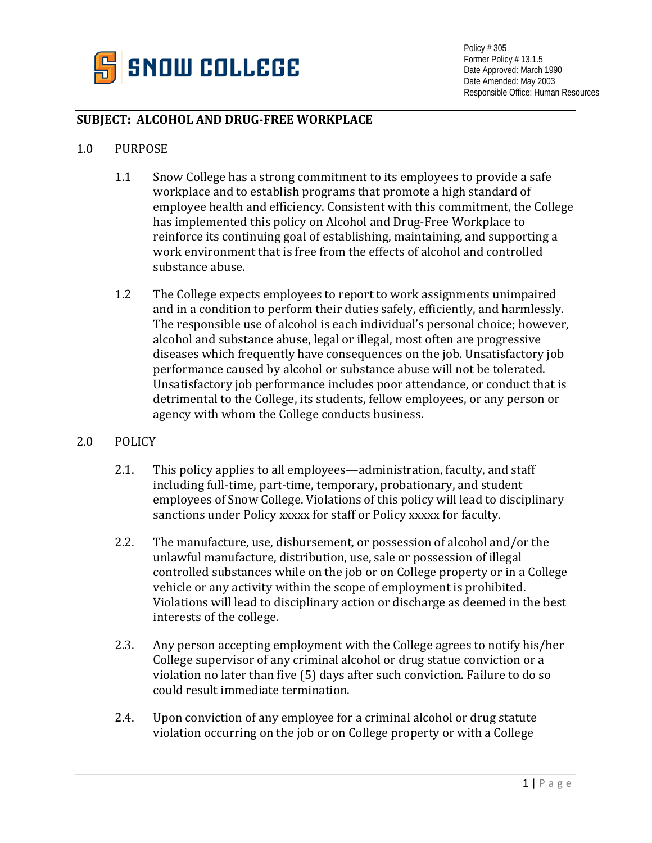

Policy # 305 Former Policy # 13.1.5 Date Approved: March 1990 Date Amended: May 2003 Responsible Office: Human Resources

## **SUBJECT: ALCOHOL AND DRUG-FREE WORKPLACE**

## 1.0 PURPOSE

- 1.1 Snow College has a strong commitment to its employees to provide a safe workplace and to establish programs that promote a high standard of employee health and efficiency. Consistent with this commitment, the College has implemented this policy on Alcohol and Drug-Free Workplace to reinforce its continuing goal of establishing, maintaining, and supporting a work environment that is free from the effects of alcohol and controlled substance abuse.
- 1.2 The College expects employees to report to work assignments unimpaired and in a condition to perform their duties safely, efficiently, and harmlessly. The responsible use of alcohol is each individual's personal choice; however, alcohol and substance abuse, legal or illegal, most often are progressive diseases which frequently have consequences on the job. Unsatisfactory job performance caused by alcohol or substance abuse will not be tolerated. Unsatisfactory job performance includes poor attendance, or conduct that is detrimental to the College, its students, fellow employees, or any person or agency with whom the College conducts business.

## 2.0 POLICY

- 2.1. This policy applies to all employees—administration, faculty, and staff including full-time, part-time, temporary, probationary, and student employees of Snow College. Violations of this policy will lead to disciplinary sanctions under Policy xxxxx for staff or Policy xxxxx for faculty.
- 2.2. The manufacture, use, disbursement, or possession of alcohol and/or the unlawful manufacture, distribution, use, sale or possession of illegal controlled substances while on the job or on College property or in a College vehicle or any activity within the scope of employment is prohibited. Violations will lead to disciplinary action or discharge as deemed in the best interests of the college.
- 2.3. Any person accepting employment with the College agrees to notify his/her College supervisor of any criminal alcohol or drug statue conviction or a violation no later than five (5) days after such conviction. Failure to do so could result immediate termination.
- 2.4. Upon conviction of any employee for a criminal alcohol or drug statute violation occurring on the job or on College property or with a College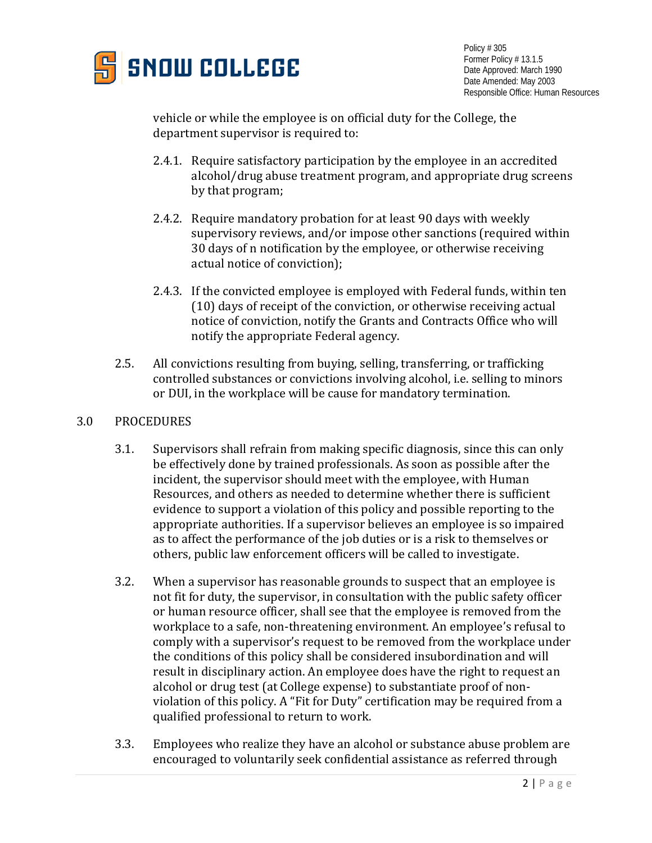

Policy # 305 Former Policy # 13.1.5 Date Approved: March 1990 Date Amended: May 2003 Responsible Office: Human Resources

vehicle or while the employee is on official duty for the College, the department supervisor is required to:

- 2.4.1. Require satisfactory participation by the employee in an accredited alcohol/drug abuse treatment program, and appropriate drug screens by that program;
- 2.4.2. Require mandatory probation for at least 90 days with weekly supervisory reviews, and/or impose other sanctions (required within 30 days of n notification by the employee, or otherwise receiving actual notice of conviction);
- 2.4.3. If the convicted employee is employed with Federal funds, within ten (10) days of receipt of the conviction, or otherwise receiving actual notice of conviction, notify the Grants and Contracts Office who will notify the appropriate Federal agency.
- 2.5. All convictions resulting from buying, selling, transferring, or trafficking controlled substances or convictions involving alcohol, i.e. selling to minors or DUI, in the workplace will be cause for mandatory termination.

## 3.0 PROCEDURES

- 3.1. Supervisors shall refrain from making specific diagnosis, since this can only be effectively done by trained professionals. As soon as possible after the incident, the supervisor should meet with the employee, with Human Resources, and others as needed to determine whether there is sufficient evidence to support a violation of this policy and possible reporting to the appropriate authorities. If a supervisor believes an employee is so impaired as to affect the performance of the job duties or is a risk to themselves or others, public law enforcement officers will be called to investigate.
- 3.2. When a supervisor has reasonable grounds to suspect that an employee is not fit for duty, the supervisor, in consultation with the public safety officer or human resource officer, shall see that the employee is removed from the workplace to a safe, non-threatening environment. An employee's refusal to comply with a supervisor's request to be removed from the workplace under the conditions of this policy shall be considered insubordination and will result in disciplinary action. An employee does have the right to request an alcohol or drug test (at College expense) to substantiate proof of nonviolation of this policy. A "Fit for Duty" certification may be required from a qualified professional to return to work.
- 3.3. Employees who realize they have an alcohol or substance abuse problem are encouraged to voluntarily seek confidential assistance as referred through